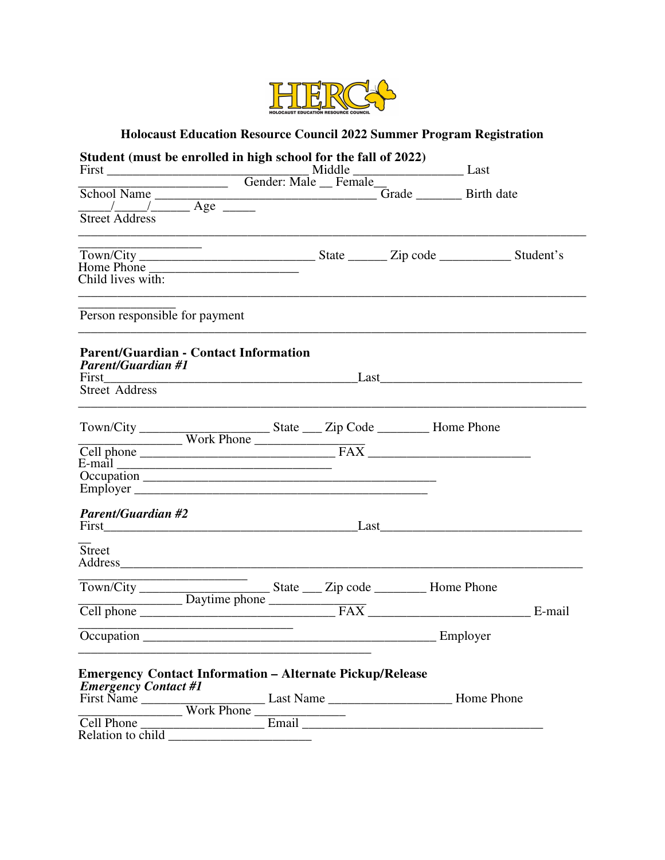

# **Holocaust Education Resource Council 2022 Summer Program Registration**

| Student (must be enrolled in high school for the fall of 2022)                                                                            |                                                                                                                       |  |          |
|-------------------------------------------------------------------------------------------------------------------------------------------|-----------------------------------------------------------------------------------------------------------------------|--|----------|
|                                                                                                                                           |                                                                                                                       |  |          |
| School Name The Changes of Grade Theorem Canada Birth date<br>$\frac{1}{\text{Street Address}}$ Address                                   |                                                                                                                       |  |          |
| <u> 2002 - Jan Samuel Barbara, prima popular popular popular popular popular popular popular popular popular pop</u><br>Child lives with: |                                                                                                                       |  |          |
| Person responsible for payment                                                                                                            |                                                                                                                       |  |          |
| <b>Parent/Guardian - Contact Information</b><br><b>Parent/Guardian #1</b>                                                                 |                                                                                                                       |  |          |
|                                                                                                                                           |                                                                                                                       |  |          |
| <b>Parent/Guardian #2</b>                                                                                                                 |                                                                                                                       |  |          |
| <b>Street</b>                                                                                                                             |                                                                                                                       |  |          |
| Town/City                                                                                                                                 |                                                                                                                       |  |          |
|                                                                                                                                           | <u> 1989 - Johann Harry Harry Harry Harry Harry Harry Harry Harry Harry Harry Harry Harry Harry Harry Harry Harry</u> |  | Employer |
| <b>Emergency Contact Information - Alternate Pickup/Release</b><br><b>Emergency Contact #1</b>                                            |                                                                                                                       |  |          |
|                                                                                                                                           |                                                                                                                       |  |          |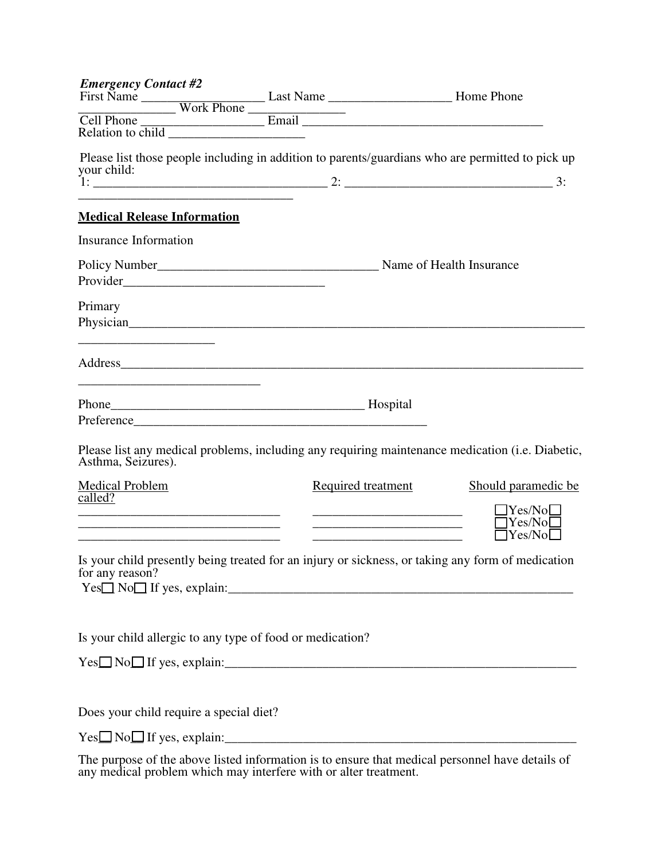| <b>Emergency Contact #2</b>                                                                                                                                                                                                               |                    |                                                                                                   |
|-------------------------------------------------------------------------------------------------------------------------------------------------------------------------------------------------------------------------------------------|--------------------|---------------------------------------------------------------------------------------------------|
|                                                                                                                                                                                                                                           |                    |                                                                                                   |
|                                                                                                                                                                                                                                           |                    |                                                                                                   |
| your child:                                                                                                                                                                                                                               |                    | Please list those people including in addition to parents/guardians who are permitted to pick up  |
|                                                                                                                                                                                                                                           |                    | $1:$ 3:                                                                                           |
| the control of the control of the control of the control of the control of the control of<br><b>Medical Release Information</b>                                                                                                           |                    |                                                                                                   |
| <b>Insurance Information</b>                                                                                                                                                                                                              |                    |                                                                                                   |
|                                                                                                                                                                                                                                           |                    |                                                                                                   |
|                                                                                                                                                                                                                                           |                    |                                                                                                   |
| Primary<br>Physician experience and the contract of the contract of the contract of the contract of the contract of the contract of the contract of the contract of the contract of the contract of the contract of the contract of the c |                    |                                                                                                   |
|                                                                                                                                                                                                                                           |                    |                                                                                                   |
|                                                                                                                                                                                                                                           |                    |                                                                                                   |
| <u> 1989 - Jan Barnett, fransk politiker (d. 1989)</u>                                                                                                                                                                                    |                    |                                                                                                   |
|                                                                                                                                                                                                                                           |                    |                                                                                                   |
| Asthma, Seizures).                                                                                                                                                                                                                        |                    | Please list any medical problems, including any requiring maintenance medication (i.e. Diabetic,  |
| Medical Problem<br>called?                                                                                                                                                                                                                | Required treatment | Should paramedic be.                                                                              |
|                                                                                                                                                                                                                                           |                    | $\Box$ Yes/No $\Box$                                                                              |
|                                                                                                                                                                                                                                           |                    | $\Box$ Yes/No $\Box$<br>$\Box$ Yes/No $\Box$                                                      |
| for any reason?                                                                                                                                                                                                                           |                    | Is your child presently being treated for an injury or sickness, or taking any form of medication |
|                                                                                                                                                                                                                                           |                    |                                                                                                   |
| Is your child allergic to any type of food or medication?                                                                                                                                                                                 |                    |                                                                                                   |
|                                                                                                                                                                                                                                           |                    |                                                                                                   |
|                                                                                                                                                                                                                                           |                    |                                                                                                   |
| Does your child require a special diet?                                                                                                                                                                                                   |                    |                                                                                                   |
|                                                                                                                                                                                                                                           |                    |                                                                                                   |

The purpose of the above listed information is to ensure that medical personnel have details of any medical problem which may interfere with or alter treatment.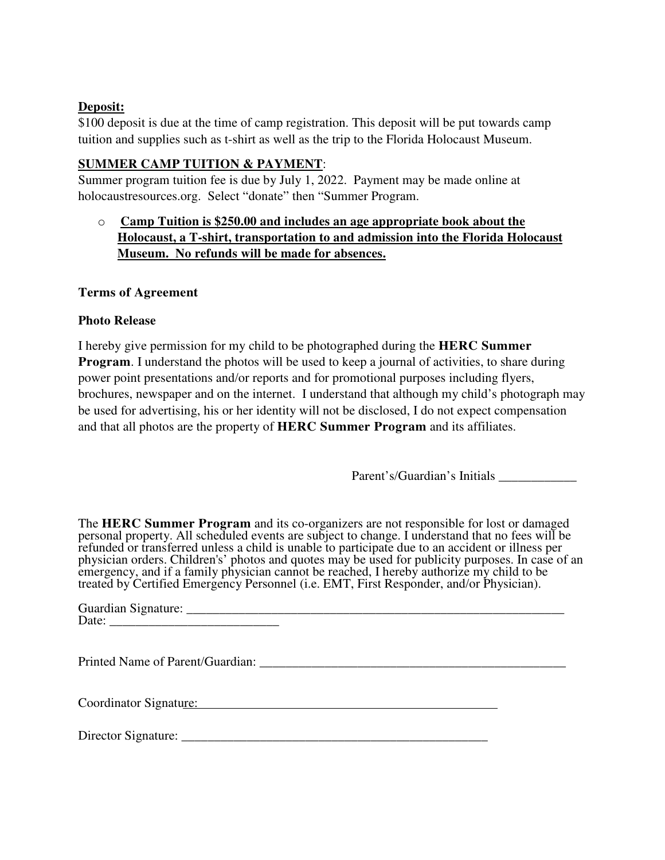# **Deposit:**

\$100 deposit is due at the time of camp registration. This deposit will be put towards camp tuition and supplies such as t-shirt as well as the trip to the Florida Holocaust Museum.

# **SUMMER CAMP TUITION & PAYMENT**:

Summer program tuition fee is due by July 1, 2022. Payment may be made online at holocaustresources.org. Select "donate" then "Summer Program.

o **Camp Tuition is \$250.00 and includes an age appropriate book about the Holocaust, a T-shirt, transportation to and admission into the Florida Holocaust Museum. No refunds will be made for absences.**

#### **Terms of Agreement**

#### **Photo Release**

I hereby give permission for my child to be photographed during the **HERC Summer Program.** I understand the photos will be used to keep a journal of activities, to share during power point presentations and/or reports and for promotional purposes including flyers, brochures, newspaper and on the internet. I understand that although my child's photograph may be used for advertising, his or her identity will not be disclosed, I do not expect compensation and that all photos are the property of **HERC Summer Program** and its affiliates.

Parent's/Guardian's Initials \_\_\_\_\_\_\_\_\_\_\_\_

The **HERC Summer Program** and its co-organizers are not responsible for lost or damaged personal property. All scheduled events are subject to change. I understand that no fees will be refunded or transferred unless a child is unable to participate due to an accident or illness per physician orders. Children's' photos and quotes may be used for publicity purposes. In case of an emergency, and if a family physician cannot be reached, I hereby authorize my child to be treated by Certified Emergency Personnel (i.e. EMT, First Responder, and/or Physician).

| Coordinator Signature: |  |
|------------------------|--|

Director Signature: